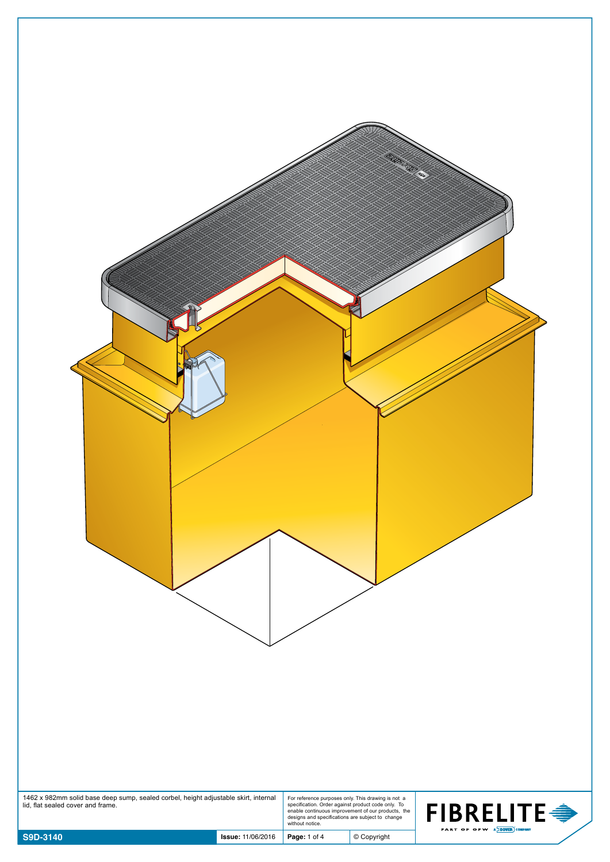| 1462 x 982mm solid base deep sump, sealed corbel, height adjustable skirt, internal lid, flat sealed cover and frame. |              | For reference purposes only. This drawing is not a<br>specification. Order against product code only. To<br>enable continuous improvement of our products, the<br>designs and specifications are subject to change<br>without notice. | FIBRELITE $\Rightarrow$<br>PART OF OPW A DOVER COMPANY |
|-----------------------------------------------------------------------------------------------------------------------|--------------|---------------------------------------------------------------------------------------------------------------------------------------------------------------------------------------------------------------------------------------|--------------------------------------------------------|
| S9D-3140<br><b>Issue: 11/06/2016</b>                                                                                  | Page: 1 of 4 | $©$ Copyright                                                                                                                                                                                                                         |                                                        |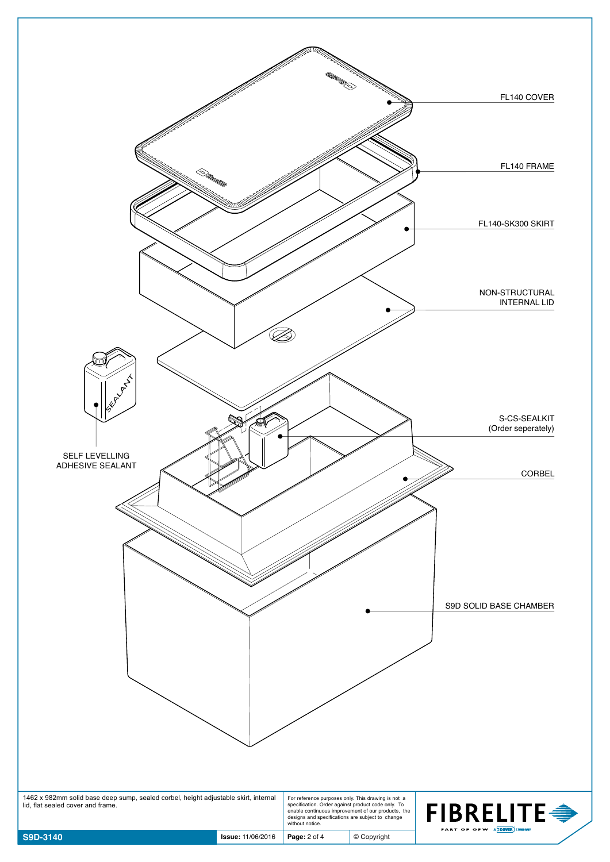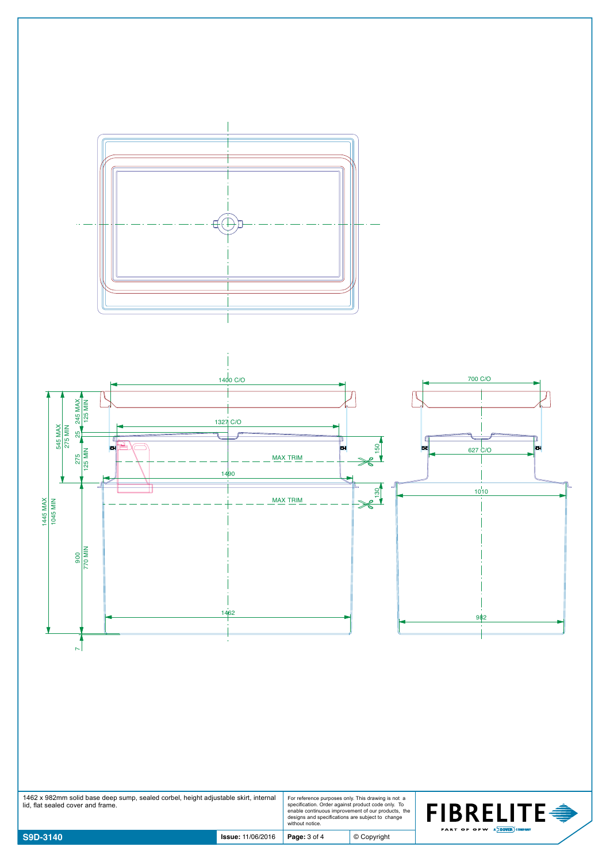